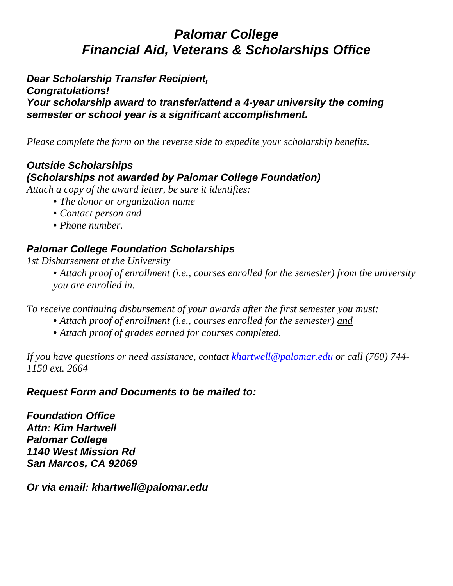# *Palomar College Financial Aid, Veterans & Scholarships Office*

*Dear Scholarship Transfer Recipient, Congratulations! Your scholarship award to transfer/attend a 4-year university the coming semester or school year is a significant accomplishment.*

*Please complete the form on the reverse side to expedite your scholarship benefits.*

## *Outside Scholarships (Scholarships not awarded by Palomar College Foundation)*

*Attach a copy of the award letter, be sure it identifies:*

- *The donor or organization name*
- *Contact person and*
- *Phone number.*

## *Palomar College Foundation Scholarships*

#### *1st Disbursement at the University*

• *Attach proof of enrollment (i.e., courses enrolled for the semester) from the university you are enrolled in.*

*To receive continuing disbursement of your awards after the first semester you must:*

- *Attach proof of enrollment (i.e., courses enrolled for the semester) and*
- *Attach proof of grades earned for courses completed.*

*If you have questions or need assistance, contact [khartwell@palomar.edu](mailto:khartwell@palomar.edu) or call (760) 744- 1150 ext. 2664*

### *Request Form and Documents to be mailed to:*

*Foundation Office Attn: Kim Hartwell Palomar College 1140 West Mission Rd San Marcos, CA 92069*

*Or via email: khartwell@palomar.edu*